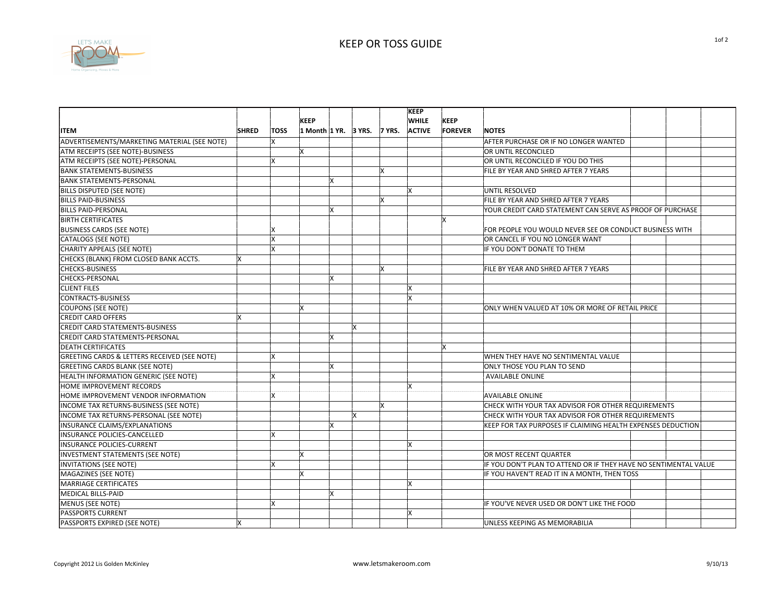

|                                                         |              |              |                             |   |    | <b>KEEP</b>   |                |                                                                  |
|---------------------------------------------------------|--------------|--------------|-----------------------------|---|----|---------------|----------------|------------------------------------------------------------------|
|                                                         |              |              | <b>KEEP</b>                 |   |    | <b>WHILE</b>  | KEEP           |                                                                  |
| <b>ITEM</b>                                             | <b>SHRED</b> | <b>TOSS</b>  | 1 Month 1 YR. 3 YRS. 7 YRS. |   |    | <b>ACTIVE</b> | <b>FOREVER</b> | <b>NOTES</b>                                                     |
| ADVERTISEMENTS/MARKETING MATERIAL (SEE NOTE)            |              | X            |                             |   |    |               |                | AFTER PURCHASE OR IF NO LONGER WANTED                            |
| ATM RECEIPTS (SEE NOTE)-BUSINESS                        |              |              |                             |   |    |               |                | OR UNTIL RECONCILED                                              |
| ATM RECEIPTS (SEE NOTE)-PERSONAL                        |              | X            |                             |   |    |               |                | OR UNTIL RECONCILED IF YOU DO THIS                               |
| <b>BANK STATEMENTS-BUSINESS</b>                         |              |              |                             |   | lх |               |                | FILE BY YEAR AND SHRED AFTER 7 YEARS                             |
| <b>BANK STATEMENTS-PERSONAL</b>                         |              |              | X                           |   |    |               |                |                                                                  |
| BILLS DISPUTED (SEE NOTE)                               |              |              |                             |   |    | lx            |                | UNTIL RESOLVED                                                   |
| <b>BILLS PAID-BUSINESS</b>                              |              |              |                             |   | lχ |               |                | FILE BY YEAR AND SHRED AFTER 7 YEARS                             |
| <b>BILLS PAID-PERSONAL</b>                              |              |              | Χ                           |   |    |               |                | YOUR CREDIT CARD STATEMENT CAN SERVE AS PROOF OF PURCHASE        |
| <b>BIRTH CERTIFICATES</b>                               |              |              |                             |   |    |               |                |                                                                  |
| <b>BUSINESS CARDS (SEE NOTE)</b>                        |              |              |                             |   |    |               |                | FOR PEOPLE YOU WOULD NEVER SEE OR CONDUCT BUSINESS WITH          |
| CATALOGS (SEE NOTE)                                     |              | lx           |                             |   |    |               |                | OR CANCEL IF YOU NO LONGER WANT                                  |
| CHARITY APPEALS (SEE NOTE)                              |              | $\mathsf{x}$ |                             |   |    |               |                | IF YOU DON'T DONATE TO THEM                                      |
| CHECKS (BLANK) FROM CLOSED BANK ACCTS.                  |              |              |                             |   |    |               |                |                                                                  |
| <b>CHECKS-BUSINESS</b>                                  |              |              |                             |   | İχ |               |                | FILE BY YEAR AND SHRED AFTER 7 YEARS                             |
| CHECKS-PERSONAL                                         |              |              | X                           |   |    |               |                |                                                                  |
| <b>CLIENT FILES</b>                                     |              |              |                             |   |    | ١x            |                |                                                                  |
| CONTRACTS-BUSINESS                                      |              |              |                             |   |    |               |                |                                                                  |
| <b>COUPONS (SEE NOTE)</b>                               |              |              |                             |   |    |               |                | ONLY WHEN VALUED AT 10% OR MORE OF RETAIL PRICE                  |
| <b>CREDIT CARD OFFERS</b>                               |              |              |                             |   |    |               |                |                                                                  |
| <b>CREDIT CARD STATEMENTS-BUSINESS</b>                  |              |              |                             | x |    |               |                |                                                                  |
| CREDIT CARD STATEMENTS-PERSONAL                         |              |              | X                           |   |    |               |                |                                                                  |
| <b>DEATH CERTIFICATES</b>                               |              |              |                             |   |    |               |                |                                                                  |
| <b>GREETING CARDS &amp; LETTERS RECEIVED (SEE NOTE)</b> |              | lx.          |                             |   |    |               |                | WHEN THEY HAVE NO SENTIMENTAL VALUE                              |
| <b>GREETING CARDS BLANK (SEE NOTE)</b>                  |              |              | X                           |   |    |               |                | ONLY THOSE YOU PLAN TO SEND                                      |
| HEALTH INFORMATION GENERIC (SEE NOTE)                   |              | lχ           |                             |   |    |               |                | <b>AVAILABLE ONLINE</b>                                          |
| HOME IMPROVEMENT RECORDS                                |              |              |                             |   |    |               |                |                                                                  |
| HOME IMPROVEMENT VENDOR INFORMATION                     |              | X            |                             |   |    |               |                | <b>AVAILABLE ONLINE</b>                                          |
| INCOME TAX RETURNS-BUSINESS (SEE NOTE)                  |              |              |                             |   | İΧ |               |                | CHECK WITH YOUR TAX ADVISOR FOR OTHER REQUIREMENTS               |
| INCOME TAX RETURNS-PERSONAL (SEE NOTE)                  |              |              |                             | X |    |               |                | CHECK WITH YOUR TAX ADVISOR FOR OTHER REQUIREMENTS               |
| INSURANCE CLAIMS/EXPLANATIONS                           |              |              | X                           |   |    |               |                | KEEP FOR TAX PURPOSES IF CLAIMING HEALTH EXPENSES DEDUCTION      |
| INSURANCE POLICIES-CANCELLED                            |              | Ιx           |                             |   |    |               |                |                                                                  |
| INSURANCE POLICIES-CURRENT                              |              |              |                             |   |    | lχ            |                |                                                                  |
| INVESTMENT STATEMENTS (SEE NOTE)                        |              |              |                             |   |    |               |                | OR MOST RECENT QUARTER                                           |
| INVITATIONS (SEE NOTE)                                  |              |              |                             |   |    |               |                | IF YOU DON'T PLAN TO ATTEND OR IF THEY HAVE NO SENTIMENTAL VALUE |
| MAGAZINES (SEE NOTE)                                    |              |              |                             |   |    |               |                | IF YOU HAVEN'T READ IT IN A MONTH, THEN TOSS                     |
| <b>MARRIAGE CERTIFICATES</b>                            |              |              |                             |   |    | İχ            |                |                                                                  |
| <b>MEDICAL BILLS-PAID</b>                               |              |              | $\overline{\mathsf{x}}$     |   |    |               |                |                                                                  |
| <b>MENUS (SEE NOTE)</b>                                 |              |              |                             |   |    |               |                | IF YOU'VE NEVER USED OR DON'T LIKE THE FOOD                      |
| <b>PASSPORTS CURRENT</b>                                |              |              |                             |   |    | Ιx            |                |                                                                  |
|                                                         |              |              |                             |   |    |               |                |                                                                  |
| PASSPORTS EXPIRED (SEE NOTE)                            |              |              |                             |   |    |               |                | UNLESS KEEPING AS MEMORABILIA                                    |